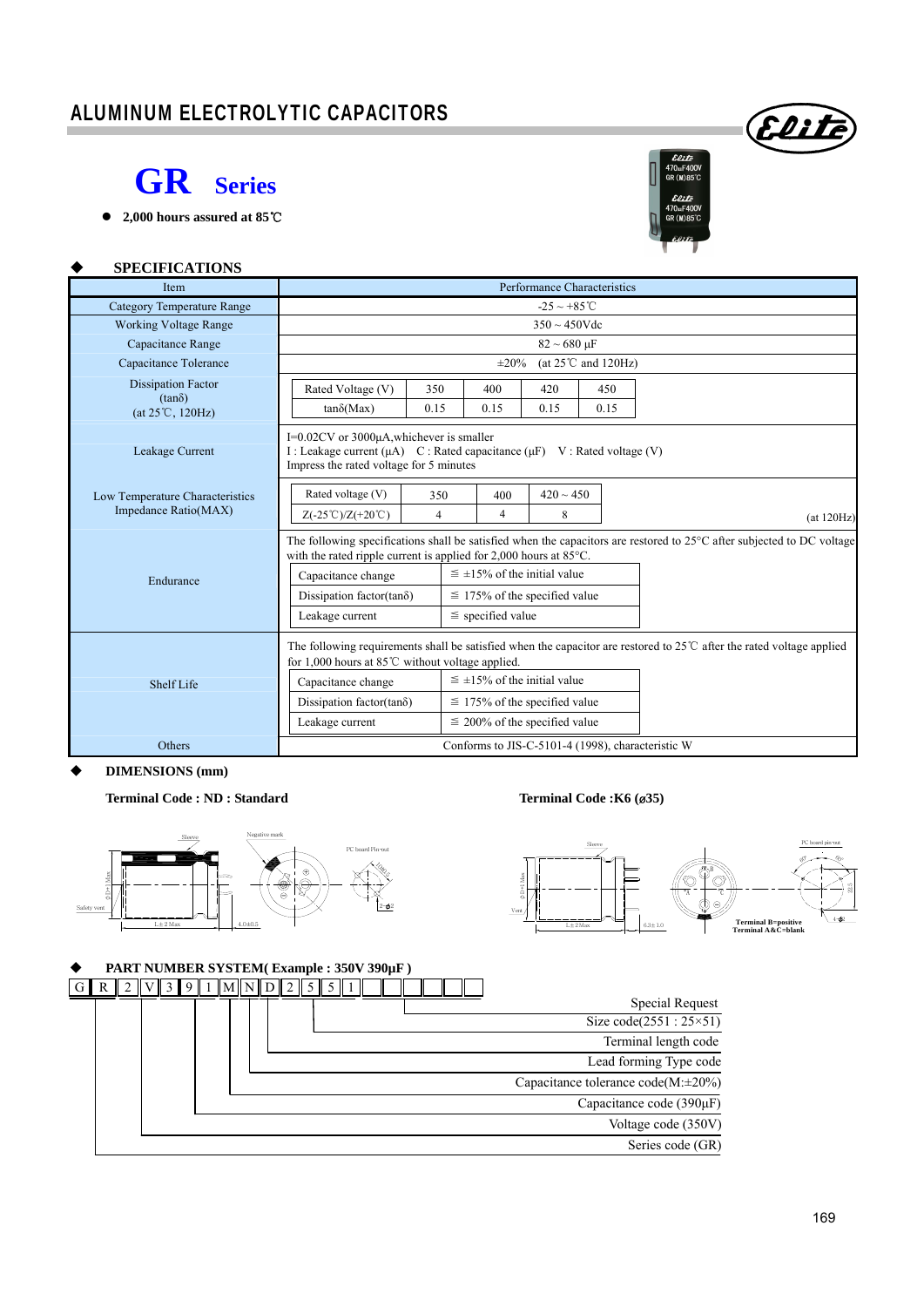## ALUMINUM ELECTROLYTIC CAPACITORS



**2,000 hours assured at 85**℃



Eliti

#### **SPECIFICATIONS**

| Item                                       | Performance Characteristics                                                                                                                                                                                       |                    |                                      |                       |                                  |            |  |  |  |  |  |
|--------------------------------------------|-------------------------------------------------------------------------------------------------------------------------------------------------------------------------------------------------------------------|--------------------|--------------------------------------|-----------------------|----------------------------------|------------|--|--|--|--|--|
| <b>Category Temperature Range</b>          | $-25 \sim +85^{\circ}$ C                                                                                                                                                                                          |                    |                                      |                       |                                  |            |  |  |  |  |  |
| <b>Working Voltage Range</b>               |                                                                                                                                                                                                                   | $350 \sim 450$ Vdc |                                      |                       |                                  |            |  |  |  |  |  |
| Capacitance Range                          |                                                                                                                                                                                                                   |                    |                                      | $82 \sim 680 \,\mu F$ |                                  |            |  |  |  |  |  |
| Capacitance Tolerance                      |                                                                                                                                                                                                                   |                    | $\pm 20\%$                           |                       | (at $25^{\circ}$ C and $120$ Hz) |            |  |  |  |  |  |
| <b>Dissipation Factor</b>                  | Rated Voltage (V)                                                                                                                                                                                                 | 350                | 400                                  | 420                   | 450                              |            |  |  |  |  |  |
| $(tan\delta)$<br>$(at 25^{\circ}C, 120Hz)$ | $tan\delta(Max)$                                                                                                                                                                                                  | 0.15               | 0.15                                 | 0.15                  | 0.15                             |            |  |  |  |  |  |
| Leakage Current                            | I=0.02CV or 3000μA, whichever is smaller<br>I : Leakage current (µA) C : Rated capacitance (µF) V : Rated voltage (V)<br>Impress the rated voltage for 5 minutes                                                  |                    |                                      |                       |                                  |            |  |  |  |  |  |
| Low Temperature Characteristics            | Rated voltage (V)                                                                                                                                                                                                 | 350                | 400                                  | $420 \sim 450$        |                                  |            |  |  |  |  |  |
| Impedance Ratio(MAX)                       | $Z(-25^{\circ}\text{C})/Z(+20^{\circ}\text{C})$                                                                                                                                                                   | 4                  | $\overline{4}$                       | 8                     |                                  | (at 120Hz) |  |  |  |  |  |
|                                            | The following specifications shall be satisfied when the capacitors are restored to $25^{\circ}$ C after subjected to DC voltage<br>with the rated ripple current is applied for $2,000$ hours at $85^{\circ}$ C. |                    |                                      |                       |                                  |            |  |  |  |  |  |
|                                            |                                                                                                                                                                                                                   |                    | $\leq \pm 15\%$ of the initial value |                       |                                  |            |  |  |  |  |  |
| Endurance                                  | Capacitance change                                                                                                                                                                                                |                    |                                      |                       |                                  |            |  |  |  |  |  |
|                                            | Dissipation factor(tan $\delta$ )                                                                                                                                                                                 |                    | $\leq$ 175% of the specified value   |                       |                                  |            |  |  |  |  |  |
|                                            | Leakage current                                                                                                                                                                                                   |                    | $\le$ specified value                |                       |                                  |            |  |  |  |  |  |
|                                            | The following requirements shall be satisfied when the capacitor are restored to $25^{\circ}$ after the rated voltage applied<br>for 1,000 hours at $85^{\circ}$ C without voltage applied.                       |                    |                                      |                       |                                  |            |  |  |  |  |  |
| Shelf Life                                 | Capacitance change                                                                                                                                                                                                |                    | $\leq \pm 15\%$ of the initial value |                       |                                  |            |  |  |  |  |  |
|                                            | Dissipation factor(tan $\delta$ )                                                                                                                                                                                 |                    | $\leq$ 175% of the specified value   |                       |                                  |            |  |  |  |  |  |
|                                            | Leakage current                                                                                                                                                                                                   |                    | $\leq$ 200% of the specified value   |                       |                                  |            |  |  |  |  |  |
| <b>Others</b>                              | Conforms to JIS-C-5101-4 (1998), characteristic W                                                                                                                                                                 |                    |                                      |                       |                                  |            |  |  |  |  |  |

#### **DIMENSIONS (mm)**

#### **Terminal Code : ND : Standard Terminal Code :K6 (**ø**35)**





### **PART NUMBER SYSTEM( Example : 350V 390µF )**